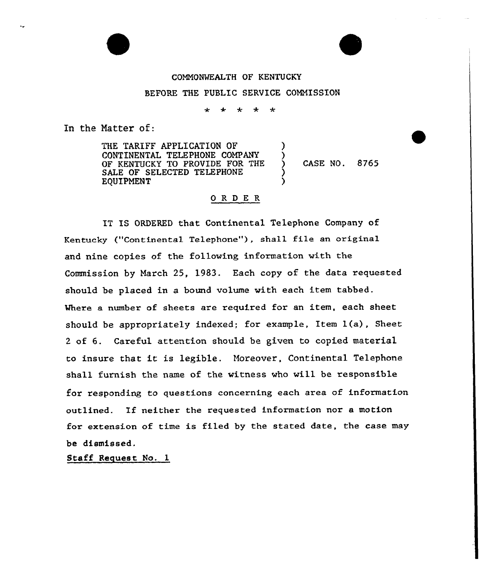## COMMONWEALTH OF KENTUCKY BEFORE THE PUBLIC SERVICE COMMISSION

 $\mathbf{r}$  $\ddot{\phantom{0}}$  $\leftarrow$  $\overline{a}$ 

> ) )

)

In the Natter of:

THE TARIFF APPLICATION OF CONTINENTAL TELEPHONE COMPANY OF KENTUCKY TO PROVIDE FOR THE SALE OF SELECTED TELEPHONE EQUIPMENT

CASE NO. 8765

## ORDER

IT IS ORDERED that Continental Telephone Company of Kentucky ("Continental Telephone"), shall file an original and nine copies of the following information with the Commission by March 25, 1983. Each copy of the data requested should be placed in a bound volume with each item tabbed. Where a number of sheets are required for an item, each sheet should be appropriately indexed; for example, Item  $l(a)$ , Sheet <sup>2</sup> of 6. Careful attention should be given to copied material to insure that it is legible. Moreover, Continental Telephone shall furnish the name of the witness who will be responsible for responding to questions concerning each area of information outlined. If neither the requested information nor <sup>a</sup> motion for extension of time is filed by the stated date, the case may be dismissed.

Staff Request No. 1